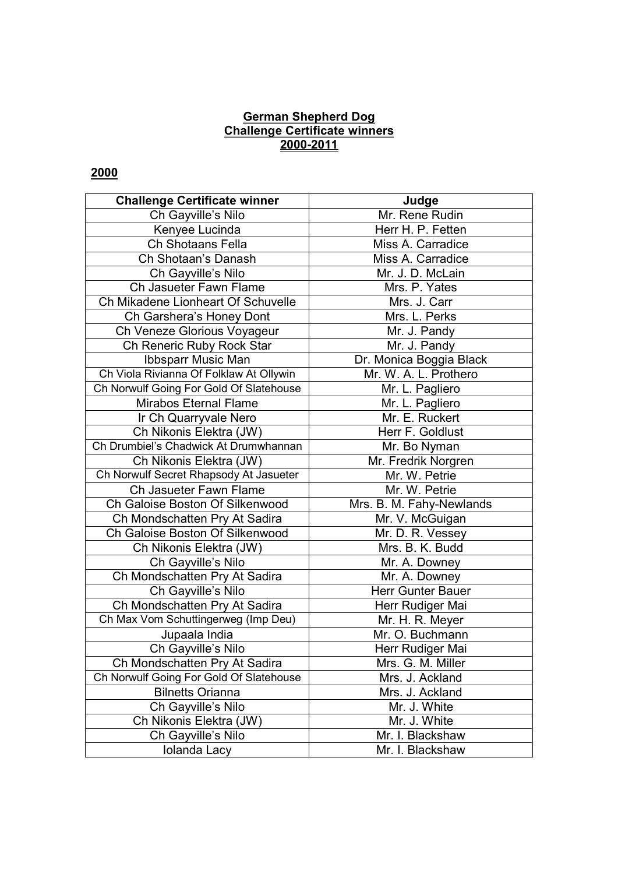#### **German Shepherd Dog Challenge Certificate winners 2000-2011**

| <b>Challenge Certificate winner</b>     | Judge                    |
|-----------------------------------------|--------------------------|
| Ch Gayville's Nilo                      | Mr. Rene Rudin           |
| Kenyee Lucinda                          | Herr H. P. Fetten        |
| Ch Shotaans Fella                       | Miss A. Carradice        |
| Ch Shotaan's Danash                     | Miss A. Carradice        |
| Ch Gayville's Nilo                      | Mr. J. D. McLain         |
| Ch Jasueter Fawn Flame                  | Mrs. P. Yates            |
| Ch Mikadene Lionheart Of Schuvelle      | Mrs. J. Carr             |
| Ch Garshera's Honey Dont                | Mrs. L. Perks            |
| Ch Veneze Glorious Voyageur             | Mr. J. Pandy             |
| Ch Reneric Ruby Rock Star               | Mr. J. Pandy             |
| Ibbsparr Music Man                      | Dr. Monica Boggia Black  |
| Ch Viola Rivianna Of Folklaw At Ollywin | Mr. W. A. L. Prothero    |
| Ch Norwulf Going For Gold Of Slatehouse | Mr. L. Pagliero          |
| <b>Mirabos Eternal Flame</b>            | Mr. L. Pagliero          |
| Ir Ch Quarryvale Nero                   | Mr. E. Ruckert           |
| Ch Nikonis Elektra (JW)                 | Herr F. Goldlust         |
| Ch Drumbiel's Chadwick At Drumwhannan   | Mr. Bo Nyman             |
| Ch Nikonis Elektra (JW)                 | Mr. Fredrik Norgren      |
| Ch Norwulf Secret Rhapsody At Jasueter  | Mr. W. Petrie            |
| Ch Jasueter Fawn Flame                  | Mr. W. Petrie            |
| Ch Galoise Boston Of Silkenwood         | Mrs. B. M. Fahy-Newlands |
| Ch Mondschatten Pry At Sadira           | Mr. V. McGuigan          |
| Ch Galoise Boston Of Silkenwood         | Mr. D. R. Vessey         |
| Ch Nikonis Elektra (JW)                 | Mrs. B. K. Budd          |
| Ch Gayville's Nilo                      | Mr. A. Downey            |
| Ch Mondschatten Pry At Sadira           | Mr. A. Downey            |
| Ch Gayville's Nilo                      | Herr Gunter Bauer        |
| Ch Mondschatten Pry At Sadira           | Herr Rudiger Mai         |
| Ch Max Vom Schuttingerweg (Imp Deu)     | Mr. H. R. Meyer          |
| Jupaala India                           | Mr. O. Buchmann          |
| Ch Gayville's Nilo                      | Herr Rudiger Mai         |
| Ch Mondschatten Pry At Sadira           | Mrs. G. M. Miller        |
| Ch Norwulf Going For Gold Of Slatehouse | Mrs. J. Ackland          |
| <b>Bilnetts Orianna</b>                 | Mrs. J. Ackland          |
| Ch Gayville's Nilo                      | Mr. J. White             |
| Ch Nikonis Elektra (JW)                 | Mr. J. White             |
| Ch Gayville's Nilo                      | Mr. I. Blackshaw         |
| Iolanda Lacy                            | Mr. I. Blackshaw         |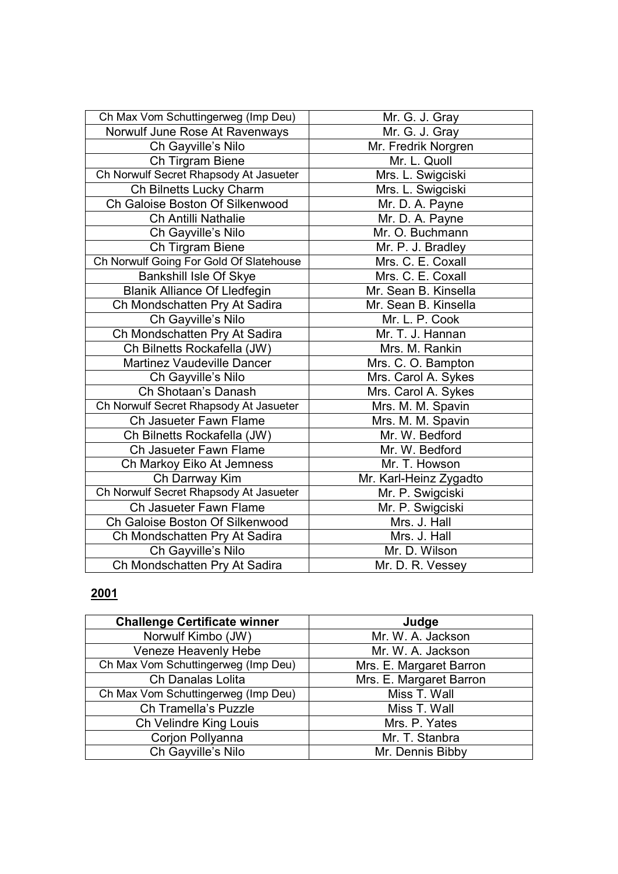| Ch Max Vom Schuttingerweg (Imp Deu)     | Mr. G. J. Gray         |
|-----------------------------------------|------------------------|
| Norwulf June Rose At Ravenways          | Mr. G. J. Gray         |
| Ch Gayville's Nilo                      | Mr. Fredrik Norgren    |
| Ch Tirgram Biene                        | Mr. L. Quoll           |
| Ch Norwulf Secret Rhapsody At Jasueter  | Mrs. L. Swigciski      |
| Ch Bilnetts Lucky Charm                 | Mrs. L. Swigciski      |
| Ch Galoise Boston Of Silkenwood         | Mr. D. A. Payne        |
| Ch Antilli Nathalie                     | Mr. D. A. Payne        |
| Ch Gayville's Nilo                      | Mr. O. Buchmann        |
| Ch Tirgram Biene                        | Mr. P. J. Bradley      |
| Ch Norwulf Going For Gold Of Slatehouse | Mrs. C. E. Coxall      |
| Bankshill Isle Of Skye                  | Mrs. C. E. Coxall      |
| <b>Blanik Alliance Of Lledfegin</b>     | Mr. Sean B. Kinsella   |
| Ch Mondschatten Pry At Sadira           | Mr. Sean B. Kinsella   |
| Ch Gayville's Nilo                      | Mr. L. P. Cook         |
| Ch Mondschatten Pry At Sadira           | Mr. T. J. Hannan       |
| Ch Bilnetts Rockafella (JW)             | Mrs. M. Rankin         |
| <b>Martinez Vaudeville Dancer</b>       | Mrs. C. O. Bampton     |
| Ch Gayville's Nilo                      | Mrs. Carol A. Sykes    |
| Ch Shotaan's Danash                     | Mrs. Carol A. Sykes    |
| Ch Norwulf Secret Rhapsody At Jasueter  | Mrs. M. M. Spavin      |
| Ch Jasueter Fawn Flame                  | Mrs. M. M. Spavin      |
| Ch Bilnetts Rockafella (JW)             | Mr. W. Bedford         |
| Ch Jasueter Fawn Flame                  | Mr. W. Bedford         |
| Ch Markoy Eiko At Jemness               | Mr. T. Howson          |
| Ch Darrway Kim                          | Mr. Karl-Heinz Zygadto |
| Ch Norwulf Secret Rhapsody At Jasueter  | Mr. P. Swigciski       |
| Ch Jasueter Fawn Flame                  | Mr. P. Swigciski       |
| Ch Galoise Boston Of Silkenwood         | Mrs. J. Hall           |
| Ch Mondschatten Pry At Sadira           | Mrs. J. Hall           |
| Ch Gayville's Nilo                      | Mr. D. Wilson          |
| Ch Mondschatten Pry At Sadira           | Mr. D. R. Vessey       |

| <b>Challenge Certificate winner</b> | Judge                   |
|-------------------------------------|-------------------------|
| Norwulf Kimbo (JW)                  | Mr. W. A. Jackson       |
| Veneze Heavenly Hebe                | Mr. W. A. Jackson       |
| Ch Max Vom Schuttingerweg (Imp Deu) | Mrs. E. Margaret Barron |
| Ch Danalas Lolita                   | Mrs. E. Margaret Barron |
| Ch Max Vom Schuttingerweg (Imp Deu) | Miss T. Wall            |
| Ch Tramella's Puzzle                | Miss T. Wall            |
| Ch Velindre King Louis              | Mrs. P. Yates           |
| Corjon Pollyanna                    | Mr. T. Stanbra          |
| Ch Gayville's Nilo                  | Mr. Dennis Bibby        |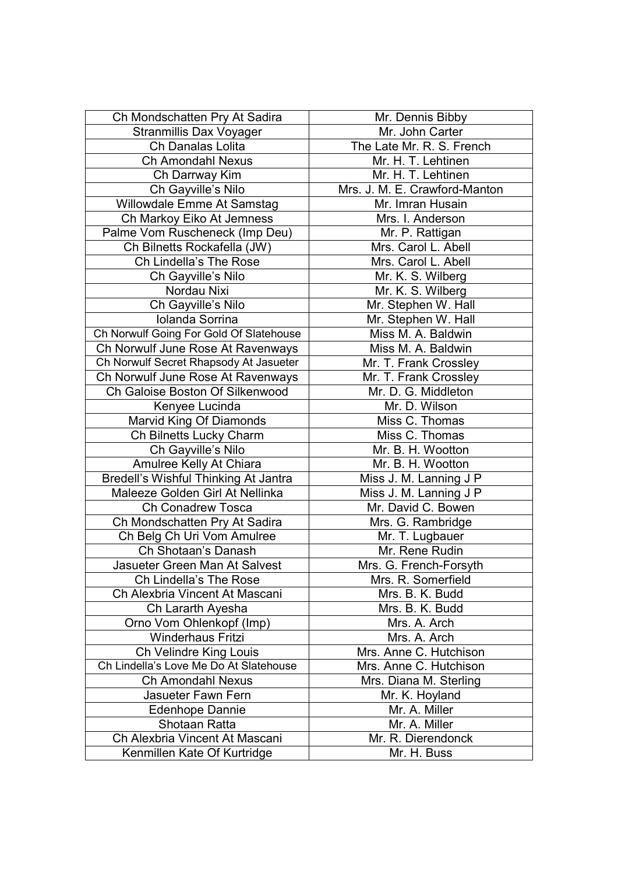| Ch Mondschatten Pry At Sadira           | Mr. Dennis Bibby              |
|-----------------------------------------|-------------------------------|
| Stranmillis Dax Voyager                 | Mr. John Carter               |
| Ch Danalas Lolita                       | The Late Mr. R. S. French     |
| <b>Ch Amondahl Nexus</b>                | Mr. H. T. Lehtinen            |
| Ch Darrway Kim                          | Mr. H. T. Lehtinen            |
| Ch Gayville's Nilo                      | Mrs. J. M. E. Crawford-Manton |
| Willowdale Emme At Samstag              | Mr. Imran Husain              |
| Ch Markoy Eiko At Jemness               | Mrs. I. Anderson              |
| Palme Vom Ruscheneck (Imp Deu)          | Mr. P. Rattigan               |
| Ch Bilnetts Rockafella (JW)             | Mrs. Carol L. Abell           |
| Ch Lindella's The Rose                  | Mrs. Carol L. Abell           |
| Ch Gayville's Nilo                      | Mr. K. S. Wilberg             |
| Nordau Nixi                             | Mr. K. S. Wilberg             |
| Ch Gayville's Nilo                      | Mr. Stephen W. Hall           |
| Iolanda Sorrina                         | Mr. Stephen W. Hall           |
| Ch Norwulf Going For Gold Of Slatehouse | Miss M. A. Baldwin            |
| Ch Norwulf June Rose At Ravenways       | Miss M. A. Baldwin            |
| Ch Norwulf Secret Rhapsody At Jasueter  | Mr. T. Frank Crossley         |
| Ch Norwulf June Rose At Ravenways       | Mr. T. Frank Crossley         |
| Ch Galoise Boston Of Silkenwood         | Mr. D. G. Middleton           |
| Kenyee Lucinda                          | Mr. D. Wilson                 |
| Marvid King Of Diamonds                 | Miss C. Thomas                |
| Ch Bilnetts Lucky Charm                 | Miss C. Thomas                |
| Ch Gayville's Nilo                      | Mr. B. H. Wootton             |
| Amulree Kelly At Chiara                 | Mr. B. H. Wootton             |
| Bredell's Wishful Thinking At Jantra    | Miss J. M. Lanning J P        |
| Maleeze Golden Girl At Nellinka         | Miss J. M. Lanning J P        |
| <b>Ch Conadrew Tosca</b>                | Mr. David C. Bowen            |
| Ch Mondschatten Pry At Sadira           | Mrs. G. Rambridge             |
| Ch Belg Ch Uri Vom Amulree              | Mr. T. Lugbauer               |
| Ch Shotaan's Danash                     | Mr. Rene Rudin                |
| Jasueter Green Man At Salvest           | Mrs. G. French-Forsyth        |
| Ch Lindella's The Rose                  | Mrs. R. Somerfield            |
| Ch Alexbria Vincent At Mascani          | Mrs. B. K. Budd               |
| Ch Lararth Ayesha                       | Mrs. B. K. Budd               |
| Orno Vom Ohlenkopf (Imp)                | Mrs. A. Arch                  |
| Winderhaus Fritzi                       | Mrs. A. Arch                  |
| Ch Velindre King Louis                  | Mrs. Anne C. Hutchison        |
| Ch Lindella's Love Me Do At Slatehouse  | Mrs. Anne C. Hutchison        |
| <b>Ch Amondahl Nexus</b>                | Mrs. Diana M. Sterling        |
| Jasueter Fawn Fern                      | Mr. K. Hoyland                |
| <b>Edenhope Dannie</b>                  | Mr. A. Miller                 |
| Shotaan Ratta                           | Mr. A. Miller                 |
| Ch Alexbria Vincent At Mascani          | Mr. R. Dierendonck            |
| Kenmillen Kate Of Kurtridge             | Mr. H. Buss                   |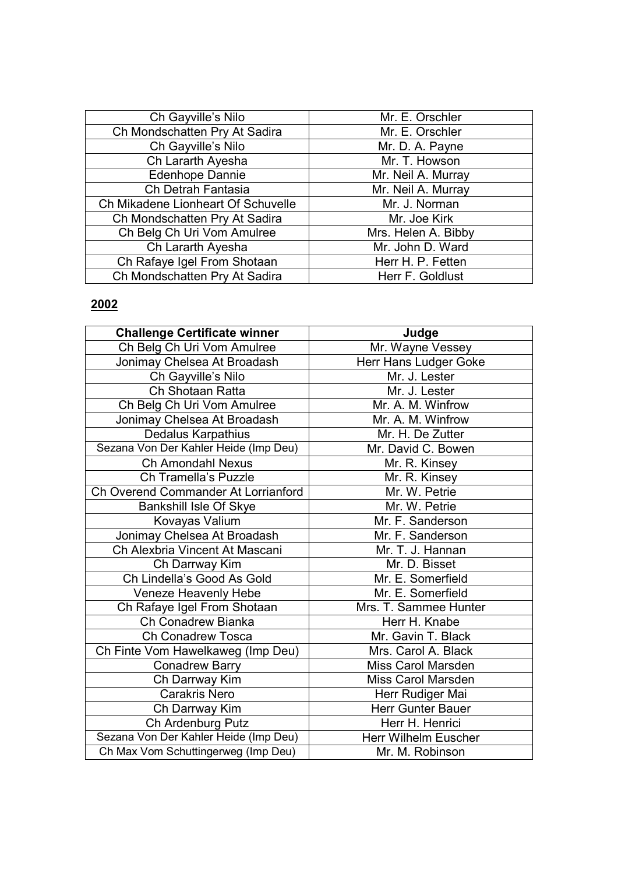| Ch Gayville's Nilo                 | Mr. E. Orschler     |
|------------------------------------|---------------------|
| Ch Mondschatten Pry At Sadira      | Mr. E. Orschler     |
| Ch Gayville's Nilo                 | Mr. D. A. Payne     |
| Ch Lararth Ayesha                  | Mr. T. Howson       |
| <b>Edenhope Dannie</b>             | Mr. Neil A. Murray  |
| Ch Detrah Fantasia                 | Mr. Neil A. Murray  |
| Ch Mikadene Lionheart Of Schuvelle | Mr. J. Norman       |
| Ch Mondschatten Pry At Sadira      | Mr. Joe Kirk        |
| Ch Belg Ch Uri Vom Amulree         | Mrs. Helen A. Bibby |
| Ch Lararth Ayesha                  | Mr. John D. Ward    |
| Ch Rafaye Igel From Shotaan        | Herr H. P. Fetten   |
| Ch Mondschatten Pry At Sadira      | Herr F. Goldlust    |

| <b>Challenge Certificate winner</b>   | Judge                       |
|---------------------------------------|-----------------------------|
| Ch Belg Ch Uri Vom Amulree            | Mr. Wayne Vessey            |
| Jonimay Chelsea At Broadash           | Herr Hans Ludger Goke       |
| Ch Gayville's Nilo                    | Mr. J. Lester               |
| Ch Shotaan Ratta                      | Mr. J. Lester               |
| Ch Belg Ch Uri Vom Amulree            | Mr. A. M. Winfrow           |
| Jonimay Chelsea At Broadash           | Mr. A. M. Winfrow           |
| Dedalus Karpathius                    | Mr. H. De Zutter            |
| Sezana Von Der Kahler Heide (Imp Deu) | Mr. David C. Bowen          |
| Ch Amondahl Nexus                     | Mr. R. Kinsey               |
| Ch Tramella's Puzzle                  | Mr. R. Kinsey               |
| Ch Overend Commander At Lorrianford   | Mr. W. Petrie               |
| Bankshill Isle Of Skye                | Mr. W. Petrie               |
| Kovayas Valium                        | Mr. F. Sanderson            |
| Jonimay Chelsea At Broadash           | Mr. F. Sanderson            |
| Ch Alexbria Vincent At Mascani        | Mr. T. J. Hannan            |
| Ch Darrway Kim                        | Mr. D. Bisset               |
| Ch Lindella's Good As Gold            | Mr. E. Somerfield           |
| Veneze Heavenly Hebe                  | Mr. E. Somerfield           |
| Ch Rafaye Igel From Shotaan           | Mrs. T. Sammee Hunter       |
| Ch Conadrew Bianka                    | Herr H. Knabe               |
| Ch Conadrew Tosca                     | Mr. Gavin T. Black          |
| Ch Finte Vom Hawelkaweg (Imp Deu)     | Mrs. Carol A. Black         |
| <b>Conadrew Barry</b>                 | Miss Carol Marsden          |
| Ch Darrway Kim                        | Miss Carol Marsden          |
| <b>Carakris Nero</b>                  | Herr Rudiger Mai            |
| Ch Darrway Kim                        | <b>Herr Gunter Bauer</b>    |
| Ch Ardenburg Putz                     | Herr H. Henrici             |
| Sezana Von Der Kahler Heide (Imp Deu) | <b>Herr Wilhelm Euscher</b> |
| Ch Max Vom Schuttingerweg (Imp Deu)   | Mr. M. Robinson             |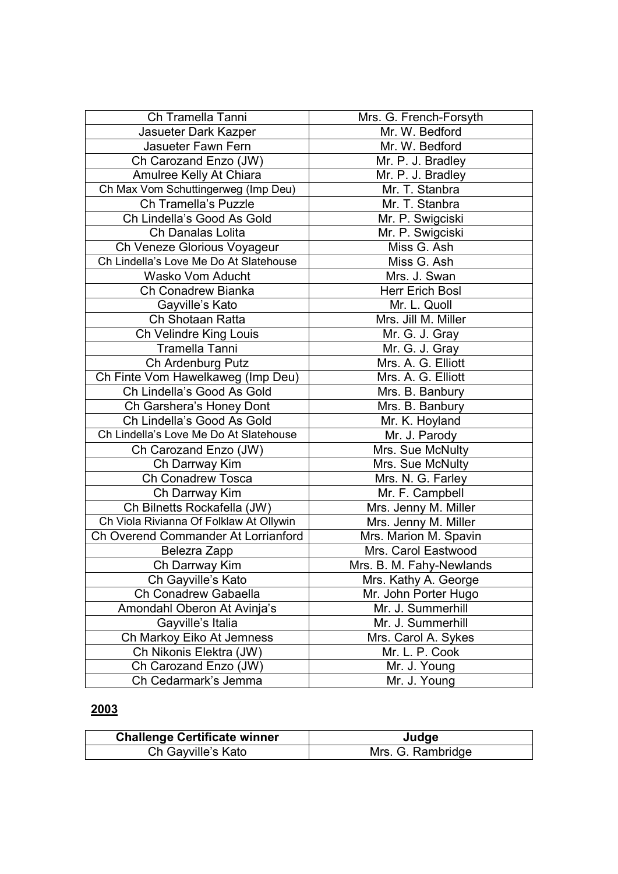| Ch Tramella Tanni                       | Mrs. G. French-Forsyth   |
|-----------------------------------------|--------------------------|
| Jasueter Dark Kazper                    | Mr. W. Bedford           |
| Jasueter Fawn Fern                      | Mr. W. Bedford           |
| Ch Carozand Enzo (JW)                   | Mr. P. J. Bradley        |
| Amulree Kelly At Chiara                 | Mr. P. J. Bradley        |
| Ch Max Vom Schuttingerweg (Imp Deu)     | Mr. T. Stanbra           |
| Ch Tramella's Puzzle                    | Mr. T. Stanbra           |
| Ch Lindella's Good As Gold              | Mr. P. Swigciski         |
| Ch Danalas Lolita                       | Mr. P. Swigciski         |
| Ch Veneze Glorious Voyageur             | Miss G. Ash              |
| Ch Lindella's Love Me Do At Slatehouse  | Miss G. Ash              |
| <b>Wasko Vom Aducht</b>                 | Mrs. J. Swan             |
| Ch Conadrew Bianka                      | Herr Erich Bosl          |
| Gayville's Kato                         | Mr. L. Quoll             |
| Ch Shotaan Ratta                        | Mrs. Jill M. Miller      |
| Ch Velindre King Louis                  | Mr. G. J. Gray           |
| Tramella Tanni                          | Mr. G. J. Gray           |
| Ch Ardenburg Putz                       | Mrs. A. G. Elliott       |
| Ch Finte Vom Hawelkaweg (Imp Deu)       | Mrs. A. G. Elliott       |
| Ch Lindella's Good As Gold              | Mrs. B. Banbury          |
| Ch Garshera's Honey Dont                | Mrs. B. Banbury          |
| Ch Lindella's Good As Gold              | Mr. K. Hoyland           |
| Ch Lindella's Love Me Do At Slatehouse  | Mr. J. Parody            |
| Ch Carozand Enzo (JW)                   | Mrs. Sue McNulty         |
| Ch Darrway Kim                          | Mrs. Sue McNulty         |
| Ch Conadrew Tosca                       | Mrs. N. G. Farley        |
| Ch Darrway Kim                          | Mr. F. Campbell          |
| Ch Bilnetts Rockafella (JW)             | Mrs. Jenny M. Miller     |
| Ch Viola Rivianna Of Folklaw At Ollywin | Mrs. Jenny M. Miller     |
| Ch Overend Commander At Lorrianford     | Mrs. Marion M. Spavin    |
| Belezra Zapp                            | Mrs. Carol Eastwood      |
| Ch Darrway Kim                          | Mrs. B. M. Fahy-Newlands |
| Ch Gayville's Kato                      | Mrs. Kathy A. George     |
| Ch Conadrew Gabaella                    | Mr. John Porter Hugo     |
| Amondahl Oberon At Avinja's             | Mr. J. Summerhill        |
| Gayville's Italia                       | Mr. J. Summerhill        |
| Ch Markoy Eiko At Jemness               | Mrs. Carol A. Sykes      |
| Ch Nikonis Elektra (JW)                 | Mr. L. P. Cook           |
| Ch Carozand Enzo (JW)                   | Mr. J. Young             |
| Ch Cedarmark's Jemma                    | Mr. J. Young             |

| <b>Challenge Certificate winner</b> | Judge             |
|-------------------------------------|-------------------|
| Ch Gayville's Kato                  | Mrs. G. Rambridge |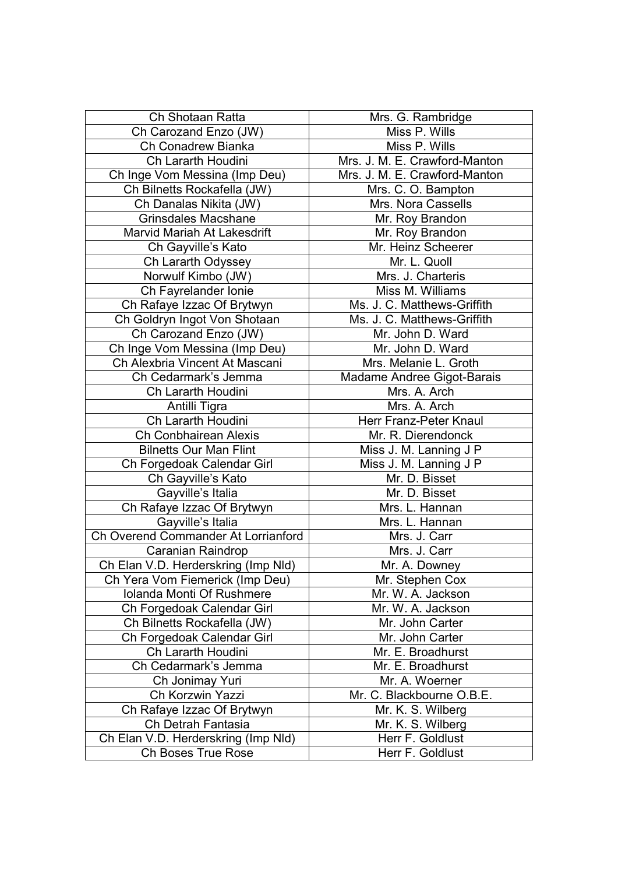| Ch Shotaan Ratta                    | Mrs. G. Rambridge             |
|-------------------------------------|-------------------------------|
| Ch Carozand Enzo (JW)               | Miss P. Wills                 |
| Ch Conadrew Bianka                  | Miss P. Wills                 |
| Ch Lararth Houdini                  | Mrs. J. M. E. Crawford-Manton |
| Ch Inge Vom Messina (Imp Deu)       | Mrs. J. M. E. Crawford-Manton |
| Ch Bilnetts Rockafella (JW)         | Mrs. C. O. Bampton            |
| Ch Danalas Nikita (JW)              | Mrs. Nora Cassells            |
| <b>Grinsdales Macshane</b>          | Mr. Roy Brandon               |
| Marvid Mariah At Lakesdrift         | Mr. Roy Brandon               |
| Ch Gayville's Kato                  | Mr. Heinz Scheerer            |
| Ch Lararth Odyssey                  | Mr. L. Quoll                  |
| Norwulf Kimbo (JW)                  | Mrs. J. Charteris             |
| Ch Fayrelander Ionie                | Miss M. Williams              |
| Ch Rafaye Izzac Of Brytwyn          | Ms. J. C. Matthews-Griffith   |
| Ch Goldryn Ingot Von Shotaan        | Ms. J. C. Matthews-Griffith   |
| Ch Carozand Enzo (JW)               | Mr. John D. Ward              |
| Ch Inge Vom Messina (Imp Deu)       | Mr. John D. Ward              |
| Ch Alexbria Vincent At Mascani      | Mrs. Melanie L. Groth         |
| Ch Cedarmark's Jemma                | Madame Andree Gigot-Barais    |
| Ch Lararth Houdini                  | Mrs. A. Arch                  |
| Antilli Tigra                       | Mrs. A. Arch                  |
| Ch Lararth Houdini                  | Herr Franz-Peter Knaul        |
| <b>Ch Conbhairean Alexis</b>        | Mr. R. Dierendonck            |
| <b>Bilnetts Our Man Flint</b>       | Miss J. M. Lanning J P        |
| Ch Forgedoak Calendar Girl          | Miss J. M. Lanning J P        |
| Ch Gayville's Kato                  | Mr. D. Bisset                 |
| Gayville's Italia                   | Mr. D. Bisset                 |
| Ch Rafaye Izzac Of Brytwyn          | Mrs. L. Hannan                |
| Gayville's Italia                   | Mrs. L. Hannan                |
| Ch Overend Commander At Lorrianford | Mrs. J. Carr                  |
| Caranian Raindrop                   | Mrs. J. Carr                  |
| Ch Elan V.D. Herderskring (Imp Nld) | Mr. A. Downey                 |
| Ch Yera Vom Fiemerick (Imp Deu)     | Mr. Stephen Cox               |
| <b>Iolanda Monti Of Rushmere</b>    | Mr. W. A. Jackson             |
| Ch Forgedoak Calendar Girl          | Mr. W. A. Jackson             |
| Ch Bilnetts Rockafella (JW)         | Mr. John Carter               |
| Ch Forgedoak Calendar Girl          | Mr. John Carter               |
| Ch Lararth Houdini                  | Mr. E. Broadhurst             |
| Ch Cedarmark's Jemma                | Mr. E. Broadhurst             |
| Ch Jonimay Yuri                     | Mr. A. Woerner                |
| Ch Korzwin Yazzi                    | Mr. C. Blackbourne O.B.E.     |
| Ch Rafaye Izzac Of Brytwyn          | Mr. K. S. Wilberg             |
| Ch Detrah Fantasia                  | Mr. K. S. Wilberg             |
| Ch Elan V.D. Herderskring (Imp Nld) | Herr F. Goldlust              |
| Ch Boses True Rose                  | Herr F. Goldlust              |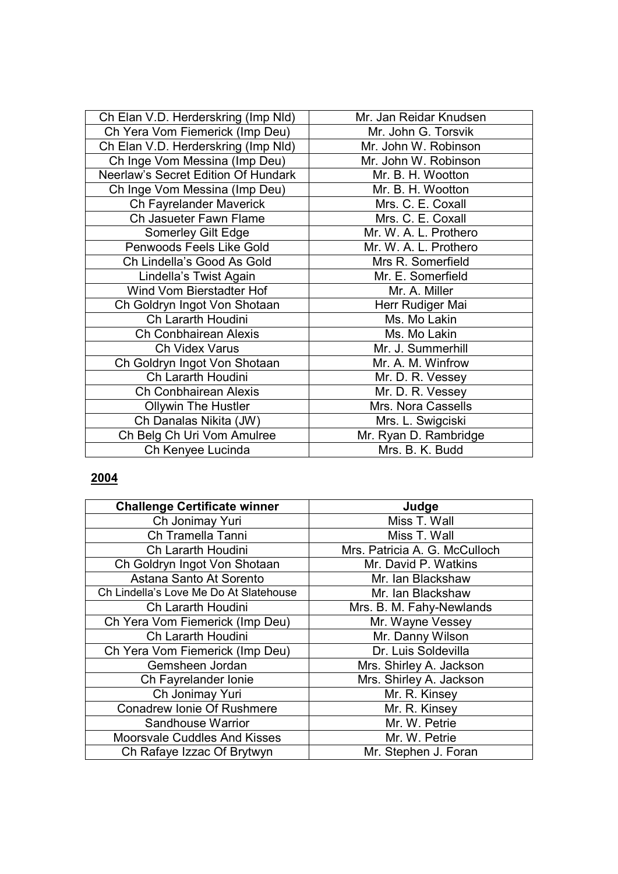| Ch Elan V.D. Herderskring (Imp Nld) | Mr. Jan Reidar Knudsen |
|-------------------------------------|------------------------|
| Ch Yera Vom Fiemerick (Imp Deu)     | Mr. John G. Torsvik    |
| Ch Elan V.D. Herderskring (Imp Nld) | Mr. John W. Robinson   |
| Ch Inge Vom Messina (Imp Deu)       | Mr. John W. Robinson   |
| Neerlaw's Secret Edition Of Hundark | Mr. B. H. Wootton      |
| Ch Inge Vom Messina (Imp Deu)       | Mr. B. H. Wootton      |
| Ch Fayrelander Maverick             | Mrs. C. E. Coxall      |
| Ch Jasueter Fawn Flame              | Mrs. C. E. Coxall      |
| Somerley Gilt Edge                  | Mr. W. A. L. Prothero  |
| Penwoods Feels Like Gold            | Mr. W. A. L. Prothero  |
| Ch Lindella's Good As Gold          | Mrs R. Somerfield      |
| Lindella's Twist Again              | Mr. E. Somerfield      |
| Wind Vom Bierstadter Hof            | Mr. A. Miller          |
| Ch Goldryn Ingot Von Shotaan        | Herr Rudiger Mai       |
| Ch Lararth Houdini                  | Ms. Mo Lakin           |
| <b>Ch Conbhairean Alexis</b>        | Ms. Mo Lakin           |
| Ch Videx Varus                      | Mr. J. Summerhill      |
| Ch Goldryn Ingot Von Shotaan        | Mr. A. M. Winfrow      |
| Ch Lararth Houdini                  | Mr. D. R. Vessey       |
| Ch Conbhairean Alexis               | Mr. D. R. Vessey       |
| <b>Ollywin The Hustler</b>          | Mrs. Nora Cassells     |
| Ch Danalas Nikita (JW)              | Mrs. L. Swigciski      |
| Ch Belg Ch Uri Vom Amulree          | Mr. Ryan D. Rambridge  |
| Ch Kenyee Lucinda                   | Mrs. B. K. Budd        |

| <b>Challenge Certificate winner</b>    | Judge                         |
|----------------------------------------|-------------------------------|
| Ch Jonimay Yuri                        | Miss T. Wall                  |
| Ch Tramella Tanni                      | Miss T. Wall                  |
| Ch Lararth Houdini                     | Mrs. Patricia A. G. McCulloch |
| Ch Goldryn Ingot Von Shotaan           | Mr. David P. Watkins          |
| Astana Santo At Sorento                | Mr. Ian Blackshaw             |
| Ch Lindella's Love Me Do At Slatehouse | Mr. Ian Blackshaw             |
| Ch Lararth Houdini                     | Mrs. B. M. Fahy-Newlands      |
| Ch Yera Vom Fiemerick (Imp Deu)        | Mr. Wayne Vessey              |
| Ch Lararth Houdini                     | Mr. Danny Wilson              |
| Ch Yera Vom Fiemerick (Imp Deu)        | Dr. Luis Soldevilla           |
| Gemsheen Jordan                        | Mrs. Shirley A. Jackson       |
| Ch Fayrelander Ionie                   | Mrs. Shirley A. Jackson       |
| Ch Jonimay Yuri                        | Mr. R. Kinsey                 |
| <b>Conadrew Ionie Of Rushmere</b>      | Mr. R. Kinsey                 |
| Sandhouse Warrior                      | Mr. W. Petrie                 |
| Moorsvale Cuddles And Kisses           | Mr. W. Petrie                 |
| Ch Rafaye Izzac Of Brytwyn             | Mr. Stephen J. Foran          |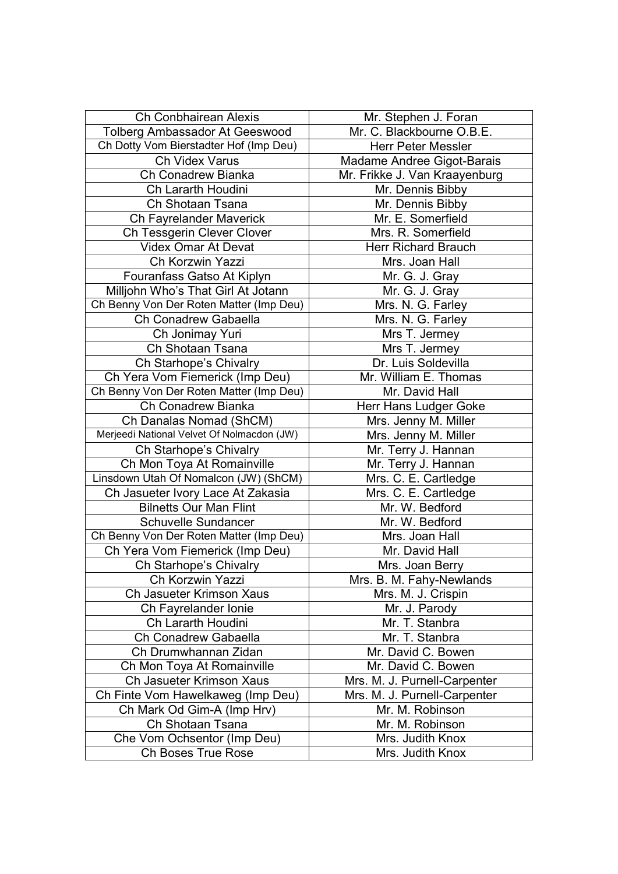| <b>Ch Conbhairean Alexis</b>               | Mr. Stephen J. Foran          |
|--------------------------------------------|-------------------------------|
| Tolberg Ambassador At Geeswood             | Mr. C. Blackbourne O.B.E.     |
| Ch Dotty Vom Bierstadter Hof (Imp Deu)     | <b>Herr Peter Messler</b>     |
| Ch Videx Varus                             | Madame Andree Gigot-Barais    |
| Ch Conadrew Bianka                         | Mr. Frikke J. Van Kraayenburg |
| Ch Lararth Houdini                         | Mr. Dennis Bibby              |
| Ch Shotaan Tsana                           | Mr. Dennis Bibby              |
| Ch Fayrelander Maverick                    | Mr. E. Somerfield             |
| Ch Tessgerin Clever Clover                 | Mrs. R. Somerfield            |
| <b>Videx Omar At Devat</b>                 | <b>Herr Richard Brauch</b>    |
| Ch Korzwin Yazzi                           | Mrs. Joan Hall                |
| Fouranfass Gatso At Kiplyn                 | Mr. G. J. Gray                |
| Milljohn Who's That Girl At Jotann         | Mr. G. J. Gray                |
| Ch Benny Von Der Roten Matter (Imp Deu)    | Mrs. N. G. Farley             |
| Ch Conadrew Gabaella                       | Mrs. N. G. Farley             |
| Ch Jonimay Yuri                            | Mrs T. Jermey                 |
| Ch Shotaan Tsana                           | Mrs T. Jermey                 |
| Ch Starhope's Chivalry                     | Dr. Luis Soldevilla           |
| Ch Yera Vom Fiemerick (Imp Deu)            | Mr. William E. Thomas         |
| Ch Benny Von Der Roten Matter (Imp Deu)    | Mr. David Hall                |
| Ch Conadrew Bianka                         | Herr Hans Ludger Goke         |
| Ch Danalas Nomad (ShCM)                    | Mrs. Jenny M. Miller          |
| Merjeedi National Velvet Of Nolmacdon (JW) | Mrs. Jenny M. Miller          |
| Ch Starhope's Chivalry                     | Mr. Terry J. Hannan           |
| Ch Mon Toya At Romainville                 | Mr. Terry J. Hannan           |
| Linsdown Utah Of Nomalcon (JW) (ShCM)      | Mrs. C. E. Cartledge          |
| Ch Jasueter Ivory Lace At Zakasia          | Mrs. C. E. Cartledge          |
| <b>Bilnetts Our Man Flint</b>              | Mr. W. Bedford                |
| Schuvelle Sundancer                        | Mr. W. Bedford                |
| Ch Benny Von Der Roten Matter (Imp Deu)    | Mrs. Joan Hall                |
| Ch Yera Vom Fiemerick (Imp Deu)            | Mr. David Hall                |
| Ch Starhope's Chivalry                     | Mrs. Joan Berry               |
| Ch Korzwin Yazzi                           | Mrs. B. M. Fahy-Newlands      |
| Ch Jasueter Krimson Xaus                   | Mrs. M. J. Crispin            |
| Ch Fayrelander Ionie                       | Mr. J. Parody                 |
| Ch Lararth Houdini                         | Mr. T. Stanbra                |
| Ch Conadrew Gabaella                       | Mr. T. Stanbra                |
| Ch Drumwhannan Zidan                       | Mr. David C. Bowen            |
| Ch Mon Toya At Romainville                 | Mr. David C. Bowen            |
| Ch Jasueter Krimson Xaus                   | Mrs. M. J. Purnell-Carpenter  |
| Ch Finte Vom Hawelkaweg (Imp Deu)          | Mrs. M. J. Purnell-Carpenter  |
| Ch Mark Od Gim-A (Imp Hrv)                 | Mr. M. Robinson               |
| Ch Shotaan Tsana                           | Mr. M. Robinson               |
| Che Vom Ochsentor (Imp Deu)                | Mrs. Judith Knox              |
| Ch Boses True Rose                         | Mrs. Judith Knox              |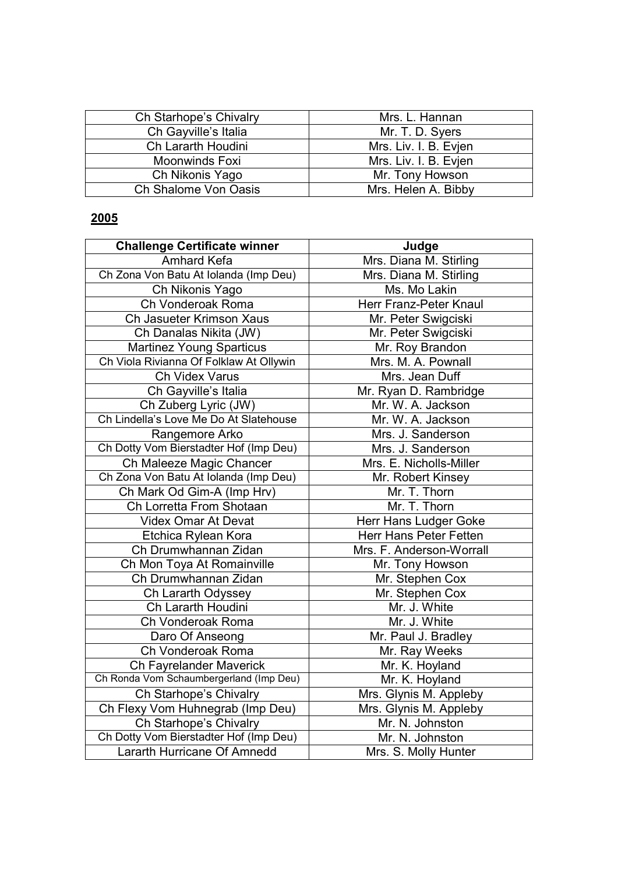| Ch Starhope's Chivalry | Mrs. L. Hannan        |
|------------------------|-----------------------|
| Ch Gayville's Italia   | Mr. T. D. Syers       |
| Ch Lararth Houdini     | Mrs. Liv. I. B. Evjen |
| <b>Moonwinds Foxi</b>  | Mrs. Liv. I. B. Evjen |
| Ch Nikonis Yago        | Mr. Tony Howson       |
| Ch Shalome Von Oasis   | Mrs. Helen A. Bibby   |

| <b>Challenge Certificate winner</b>     | Judge                    |
|-----------------------------------------|--------------------------|
| Amhard Kefa                             | Mrs. Diana M. Stirling   |
| Ch Zona Von Batu At Iolanda (Imp Deu)   | Mrs. Diana M. Stirling   |
| Ch Nikonis Yago                         | Ms. Mo Lakin             |
| Ch Vonderoak Roma                       | Herr Franz-Peter Knaul   |
| Ch Jasueter Krimson Xaus                | Mr. Peter Swigciski      |
| Ch Danalas Nikita (JW)                  | Mr. Peter Swigciski      |
| <b>Martinez Young Sparticus</b>         | Mr. Roy Brandon          |
| Ch Viola Rivianna Of Folklaw At Ollywin | Mrs. M. A. Pownall       |
| Ch Videx Varus                          | Mrs. Jean Duff           |
| Ch Gayville's Italia                    | Mr. Ryan D. Rambridge    |
| Ch Zuberg Lyric (JW)                    | Mr. W. A. Jackson        |
| Ch Lindella's Love Me Do At Slatehouse  | Mr. W. A. Jackson        |
| Rangemore Arko                          | Mrs. J. Sanderson        |
| Ch Dotty Vom Bierstadter Hof (Imp Deu)  | Mrs. J. Sanderson        |
| Ch Maleeze Magic Chancer                | Mrs. E. Nicholls-Miller  |
| Ch Zona Von Batu At Iolanda (Imp Deu)   | Mr. Robert Kinsey        |
| Ch Mark Od Gim-A (Imp Hrv)              | Mr. T. Thorn             |
| Ch Lorretta From Shotaan                | Mr. T. Thorn             |
| Videx Omar At Devat                     | Herr Hans Ludger Goke    |
| Etchica Rylean Kora                     | Herr Hans Peter Fetten   |
| Ch Drumwhannan Zidan                    | Mrs. F. Anderson-Worrall |
| Ch Mon Toya At Romainville              | Mr. Tony Howson          |
| Ch Drumwhannan Zidan                    | Mr. Stephen Cox          |
| Ch Lararth Odyssey                      | Mr. Stephen Cox          |
| Ch Lararth Houdini                      | Mr. J. White             |
| Ch Vonderoak Roma                       | Mr. J. White             |
| Daro Of Anseong                         | Mr. Paul J. Bradley      |
| Ch Vonderoak Roma                       | Mr. Ray Weeks            |
| Ch Fayrelander Maverick                 | Mr. K. Hoyland           |
| Ch Ronda Vom Schaumbergerland (Imp Deu) | Mr. K. Hoyland           |
| Ch Starhope's Chivalry                  | Mrs. Glynis M. Appleby   |
| Ch Flexy Vom Huhnegrab (Imp Deu)        | Mrs. Glynis M. Appleby   |
| Ch Starhope's Chivalry                  | Mr. N. Johnston          |
| Ch Dotty Vom Bierstadter Hof (Imp Deu)  | Mr. N. Johnston          |
| Lararth Hurricane Of Amnedd             | Mrs. S. Molly Hunter     |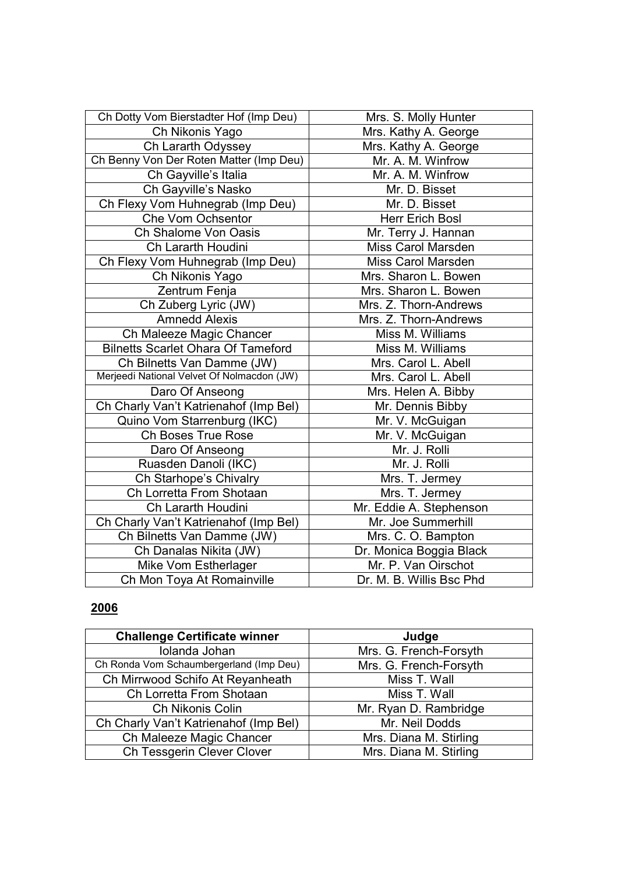| Ch Dotty Vom Bierstadter Hof (Imp Deu)     | Mrs. S. Molly Hunter     |
|--------------------------------------------|--------------------------|
| Ch Nikonis Yago                            | Mrs. Kathy A. George     |
| Ch Lararth Odyssey                         | Mrs. Kathy A. George     |
| Ch Benny Von Der Roten Matter (Imp Deu)    | Mr. A. M. Winfrow        |
| Ch Gayville's Italia                       | Mr. A. M. Winfrow        |
| Ch Gayville's Nasko                        | Mr. D. Bisset            |
| Ch Flexy Vom Huhnegrab (Imp Deu)           | Mr. D. Bisset            |
| <b>Che Vom Ochsentor</b>                   | <b>Herr Erich Bosl</b>   |
| Ch Shalome Von Oasis                       | Mr. Terry J. Hannan      |
| Ch Lararth Houdini                         | Miss Carol Marsden       |
| Ch Flexy Vom Huhnegrab (Imp Deu)           | Miss Carol Marsden       |
| Ch Nikonis Yago                            | Mrs. Sharon L. Bowen     |
| Zentrum Fenja                              | Mrs. Sharon L. Bowen     |
| Ch Zuberg Lyric (JW)                       | Mrs. Z. Thorn-Andrews    |
| <b>Amnedd Alexis</b>                       | Mrs. Z. Thorn-Andrews    |
| Ch Maleeze Magic Chancer                   | Miss M. Williams         |
| <b>Bilnetts Scarlet Ohara Of Tameford</b>  | Miss M. Williams         |
| Ch Bilnetts Van Damme (JW)                 | Mrs. Carol L. Abell      |
| Merjeedi National Velvet Of Nolmacdon (JW) | Mrs. Carol L. Abell      |
| Daro Of Anseong                            | Mrs. Helen A. Bibby      |
| Ch Charly Van't Katrienahof (Imp Bel)      | Mr. Dennis Bibby         |
| Quino Vom Starrenburg (IKC)                | Mr. V. McGuigan          |
| <b>Ch Boses True Rose</b>                  | Mr. V. McGuigan          |
| Daro Of Anseong                            | Mr. J. Rolli             |
| Ruasden Danoli (IKC)                       | Mr. J. Rolli             |
| Ch Starhope's Chivalry                     | Mrs. T. Jermey           |
| Ch Lorretta From Shotaan                   | Mrs. T. Jermey           |
| Ch Lararth Houdini                         | Mr. Eddie A. Stephenson  |
| Ch Charly Van't Katrienahof (Imp Bel)      | Mr. Joe Summerhill       |
| Ch Bilnetts Van Damme (JW)                 | Mrs. C. O. Bampton       |
| Ch Danalas Nikita (JW)                     | Dr. Monica Boggia Black  |
| Mike Vom Estherlager                       | Mr. P. Van Oirschot      |
| Ch Mon Toya At Romainville                 | Dr. M. B. Willis Bsc Phd |

| <b>Challenge Certificate winner</b>     | Judge                  |
|-----------------------------------------|------------------------|
| Iolanda Johan                           | Mrs. G. French-Forsyth |
| Ch Ronda Vom Schaumbergerland (Imp Deu) | Mrs. G. French-Forsyth |
| Ch Mirrwood Schifo At Reyanheath        | Miss T. Wall           |
| Ch Lorretta From Shotaan                | Miss T. Wall           |
| Ch Nikonis Colin                        | Mr. Ryan D. Rambridge  |
| Ch Charly Van't Katrienahof (Imp Bel)   | Mr. Neil Dodds         |
| Ch Maleeze Magic Chancer                | Mrs. Diana M. Stirling |
| Ch Tessgerin Clever Clover              | Mrs. Diana M. Stirling |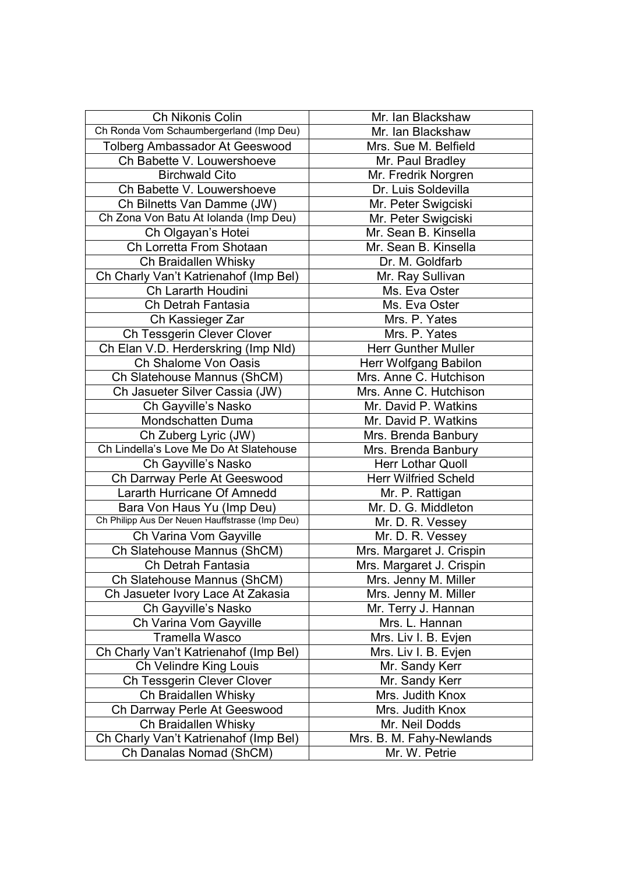| Ch Nikonis Colin                                | Mr. Ian Blackshaw           |
|-------------------------------------------------|-----------------------------|
| Ch Ronda Vom Schaumbergerland (Imp Deu)         | Mr. Ian Blackshaw           |
| Tolberg Ambassador At Geeswood                  | Mrs. Sue M. Belfield        |
| Ch Babette V. Louwershoeve                      | Mr. Paul Bradley            |
| <b>Birchwald Cito</b>                           | Mr. Fredrik Norgren         |
| Ch Babette V. Louwershoeve                      | Dr. Luis Soldevilla         |
| Ch Bilnetts Van Damme (JW)                      | Mr. Peter Swigciski         |
| Ch Zona Von Batu At Iolanda (Imp Deu)           | Mr. Peter Swigciski         |
| Ch Olgayan's Hotei                              | Mr. Sean B. Kinsella        |
| Ch Lorretta From Shotaan                        | Mr. Sean B. Kinsella        |
| Ch Braidallen Whisky                            | Dr. M. Goldfarb             |
| Ch Charly Van't Katrienahof (Imp Bel)           | Mr. Ray Sullivan            |
| Ch Lararth Houdini                              | Ms. Eva Oster               |
| Ch Detrah Fantasia                              | Ms. Eva Oster               |
| Ch Kassieger Zar                                | Mrs. P. Yates               |
| Ch Tessgerin Clever Clover                      | Mrs. P. Yates               |
| Ch Elan V.D. Herderskring (Imp Nld)             | <b>Herr Gunther Muller</b>  |
| Ch Shalome Von Oasis                            | Herr Wolfgang Babilon       |
| Ch Slatehouse Mannus (ShCM)                     | Mrs. Anne C. Hutchison      |
| Ch Jasueter Silver Cassia (JW)                  | Mrs. Anne C. Hutchison      |
| Ch Gayville's Nasko                             | Mr. David P. Watkins        |
| Mondschatten Duma                               | Mr. David P. Watkins        |
| Ch Zuberg Lyric (JW)                            | Mrs. Brenda Banbury         |
| Ch Lindella's Love Me Do At Slatehouse          | Mrs. Brenda Banbury         |
| Ch Gayville's Nasko                             | <b>Herr Lothar Quoll</b>    |
| Ch Darrway Perle At Geeswood                    | <b>Herr Wilfried Scheld</b> |
| Lararth Hurricane Of Amnedd                     | Mr. P. Rattigan             |
| Bara Von Haus Yu (Imp Deu)                      | Mr. D. G. Middleton         |
| Ch Philipp Aus Der Neuen Hauffstrasse (Imp Deu) | Mr. D. R. Vessey            |
| Ch Varina Vom Gayville                          | Mr. D. R. Vessey            |
| Ch Slatehouse Mannus (ShCM)                     | Mrs. Margaret J. Crispin    |
| Ch Detrah Fantasia                              | Mrs. Margaret J. Crispin    |
| Ch Slatehouse Mannus (ShCM)                     | Mrs. Jenny M. Miller        |
| Ch Jasueter Ivory Lace At Zakasia               | Mrs. Jenny M. Miller        |
| Ch Gayville's Nasko                             | Mr. Terry J. Hannan         |
| Ch Varina Vom Gayville                          | Mrs. L. Hannan              |
| Tramella Wasco                                  | Mrs. Liv I. B. Evjen        |
| Ch Charly Van't Katrienahof (Imp Bel)           | Mrs. Liv I. B. Evjen        |
| Ch Velindre King Louis                          | Mr. Sandy Kerr              |
| Ch Tessgerin Clever Clover                      | Mr. Sandy Kerr              |
| Ch Braidallen Whisky                            | Mrs. Judith Knox            |
| Ch Darrway Perle At Geeswood                    | Mrs. Judith Knox            |
| Ch Braidallen Whisky                            | Mr. Neil Dodds              |
| Ch Charly Van't Katrienahof (Imp Bel)           | Mrs. B. M. Fahy-Newlands    |
| Ch Danalas Nomad (ShCM)                         | Mr. W. Petrie               |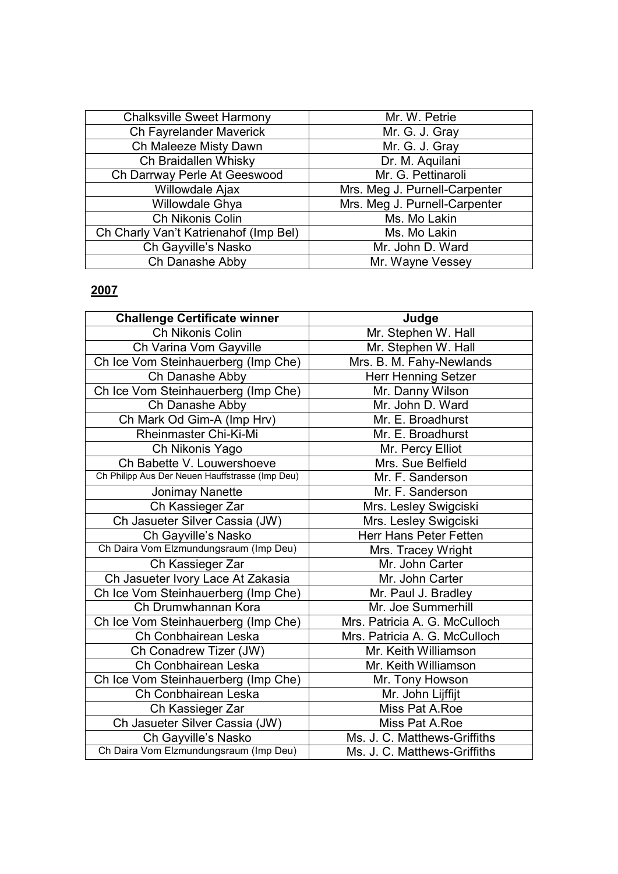| <b>Chalksville Sweet Harmony</b>      | Mr. W. Petrie                 |
|---------------------------------------|-------------------------------|
| Ch Fayrelander Maverick               | Mr. G. J. Gray                |
| Ch Maleeze Misty Dawn                 | Mr. G. J. Gray                |
| Ch Braidallen Whisky                  | Dr. M. Aquilani               |
| Ch Darrway Perle At Geeswood          | Mr. G. Pettinaroli            |
| Willowdale Ajax                       | Mrs. Meg J. Purnell-Carpenter |
| Willowdale Ghya                       | Mrs. Meg J. Purnell-Carpenter |
| Ch Nikonis Colin                      | Ms. Mo Lakin                  |
| Ch Charly Van't Katrienahof (Imp Bel) | Ms. Mo Lakin                  |
| Ch Gayville's Nasko                   | Mr. John D. Ward              |
| Ch Danashe Abby                       | Mr. Wayne Vessey              |

| <b>Challenge Certificate winner</b>             | Judge                         |
|-------------------------------------------------|-------------------------------|
| Ch Nikonis Colin                                | Mr. Stephen W. Hall           |
| Ch Varina Vom Gayville                          | Mr. Stephen W. Hall           |
| Ch Ice Vom Steinhauerberg (Imp Che)             | Mrs. B. M. Fahy-Newlands      |
| Ch Danashe Abby                                 | <b>Herr Henning Setzer</b>    |
| Ch Ice Vom Steinhauerberg (Imp Che)             | Mr. Danny Wilson              |
| Ch Danashe Abby                                 | Mr. John D. Ward              |
| Ch Mark Od Gim-A (Imp Hrv)                      | Mr. E. Broadhurst             |
| Rheinmaster Chi-Ki-Mi                           | Mr. E. Broadhurst             |
| Ch Nikonis Yago                                 | Mr. Percy Elliot              |
| Ch Babette V. Louwershoeve                      | Mrs. Sue Belfield             |
| Ch Philipp Aus Der Neuen Hauffstrasse (Imp Deu) | Mr. F. Sanderson              |
| <b>Jonimay Nanette</b>                          | Mr. F. Sanderson              |
| Ch Kassieger Zar                                | Mrs. Lesley Swigciski         |
| Ch Jasueter Silver Cassia (JW)                  | Mrs. Lesley Swigciski         |
| Ch Gayville's Nasko                             | <b>Herr Hans Peter Fetten</b> |
| Ch Daira Vom Elzmundungsraum (Imp Deu)          | Mrs. Tracey Wright            |
| Ch Kassieger Zar                                | Mr. John Carter               |
| Ch Jasueter Ivory Lace At Zakasia               | Mr. John Carter               |
| Ch Ice Vom Steinhauerberg (Imp Che)             | Mr. Paul J. Bradley           |
| Ch Drumwhannan Kora                             | Mr. Joe Summerhill            |
| Ch Ice Vom Steinhauerberg (Imp Che)             | Mrs. Patricia A. G. McCulloch |
| Ch Conbhairean Leska                            | Mrs. Patricia A. G. McCulloch |
| Ch Conadrew Tizer (JW)                          | Mr. Keith Williamson          |
| Ch Conbhairean Leska                            | Mr. Keith Williamson          |
| Ch Ice Vom Steinhauerberg (Imp Che)             | Mr. Tony Howson               |
| Ch Conbhairean Leska                            | Mr. John Lijffijt             |
| Ch Kassieger Zar                                | Miss Pat A.Roe                |
| Ch Jasueter Silver Cassia (JW)                  | Miss Pat A.Roe                |
| Ch Gayville's Nasko                             | Ms. J. C. Matthews-Griffiths  |
| Ch Daira Vom Elzmundungsraum (Imp Deu)          | Ms. J. C. Matthews-Griffiths  |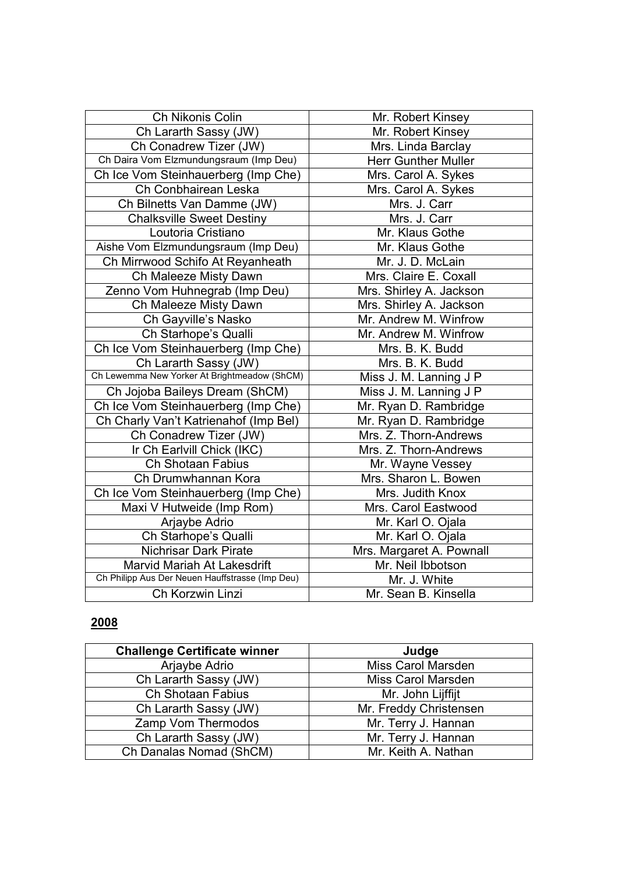| Ch Nikonis Colin                                | Mr. Robert Kinsey          |
|-------------------------------------------------|----------------------------|
| Ch Lararth Sassy (JW)                           | Mr. Robert Kinsey          |
| Ch Conadrew Tizer (JW)                          | Mrs. Linda Barclay         |
| Ch Daira Vom Elzmundungsraum (Imp Deu)          | <b>Herr Gunther Muller</b> |
| Ch Ice Vom Steinhauerberg (Imp Che)             | Mrs. Carol A. Sykes        |
| Ch Conbhairean Leska                            | Mrs. Carol A. Sykes        |
| Ch Bilnetts Van Damme (JW)                      | Mrs. J. Carr               |
| <b>Chalksville Sweet Destiny</b>                | Mrs. J. Carr               |
| Loutoria Cristiano                              | Mr. Klaus Gothe            |
| Aishe Vom Elzmundungsraum (Imp Deu)             | Mr. Klaus Gothe            |
| Ch Mirrwood Schifo At Reyanheath                | Mr. J. D. McLain           |
| Ch Maleeze Misty Dawn                           | Mrs. Claire E. Coxall      |
| Zenno Vom Huhnegrab (Imp Deu)                   | Mrs. Shirley A. Jackson    |
| Ch Maleeze Misty Dawn                           | Mrs. Shirley A. Jackson    |
| Ch Gayville's Nasko                             | Mr. Andrew M. Winfrow      |
| Ch Starhope's Qualli                            | Mr. Andrew M. Winfrow      |
| Ch Ice Vom Steinhauerberg (Imp Che)             | Mrs. B. K. Budd            |
| Ch Lararth Sassy (JW)                           | Mrs. B. K. Budd            |
| Ch Lewemma New Yorker At Brightmeadow (ShCM)    | Miss J. M. Lanning J P     |
| Ch Jojoba Baileys Dream (ShCM)                  | Miss J. M. Lanning J P     |
| Ch Ice Vom Steinhauerberg (Imp Che)             | Mr. Ryan D. Rambridge      |
| Ch Charly Van't Katrienahof (Imp Bel)           | Mr. Ryan D. Rambridge      |
| Ch Conadrew Tizer (JW)                          | Mrs. Z. Thorn-Andrews      |
| Ir Ch Earlvill Chick (IKC)                      | Mrs. Z. Thorn-Andrews      |
| Ch Shotaan Fabius                               | Mr. Wayne Vessey           |
| Ch Drumwhannan Kora                             | Mrs. Sharon L. Bowen       |
| Ch Ice Vom Steinhauerberg (Imp Che)             | Mrs. Judith Knox           |
| Maxi V Hutweide (Imp Rom)                       | Mrs. Carol Eastwood        |
| Arjaybe Adrio                                   | Mr. Karl O. Ojala          |
| Ch Starhope's Qualli                            | Mr. Karl O. Ojala          |
| <b>Nichrisar Dark Pirate</b>                    | Mrs. Margaret A. Pownall   |
| <b>Marvid Mariah At Lakesdrift</b>              | Mr. Neil Ibbotson          |
| Ch Philipp Aus Der Neuen Hauffstrasse (Imp Deu) | Mr. J. White               |
| Ch Korzwin Linzi                                | Mr. Sean B. Kinsella       |

| <b>Challenge Certificate winner</b> | Judge                  |
|-------------------------------------|------------------------|
| Arjaybe Adrio                       | Miss Carol Marsden     |
| Ch Lararth Sassy (JW)               | Miss Carol Marsden     |
| Ch Shotaan Fabius                   | Mr. John Lijffijt      |
| Ch Lararth Sassy (JW)               | Mr. Freddy Christensen |
| Zamp Vom Thermodos                  | Mr. Terry J. Hannan    |
| Ch Lararth Sassy (JW)               | Mr. Terry J. Hannan    |
| Ch Danalas Nomad (ShCM)             | Mr. Keith A. Nathan    |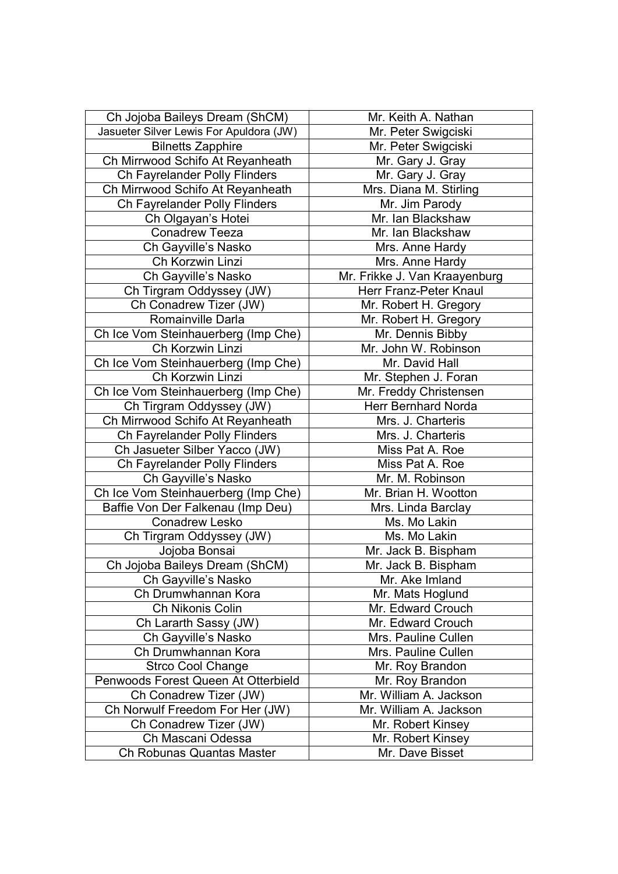| Ch Jojoba Baileys Dream (ShCM)          | Mr. Keith A. Nathan           |
|-----------------------------------------|-------------------------------|
| Jasueter Silver Lewis For Apuldora (JW) | Mr. Peter Swigciski           |
| <b>Bilnetts Zapphire</b>                | Mr. Peter Swigciski           |
| Ch Mirrwood Schifo At Reyanheath        | Mr. Gary J. Gray              |
| Ch Fayrelander Polly Flinders           | Mr. Gary J. Gray              |
| Ch Mirrwood Schifo At Reyanheath        | Mrs. Diana M. Stirling        |
| Ch Fayrelander Polly Flinders           | Mr. Jim Parody                |
| Ch Olgayan's Hotei                      | Mr. Ian Blackshaw             |
| <b>Conadrew Teeza</b>                   | Mr. Ian Blackshaw             |
| Ch Gayville's Nasko                     | Mrs. Anne Hardy               |
| Ch Korzwin Linzi                        | Mrs. Anne Hardy               |
| Ch Gayville's Nasko                     | Mr. Frikke J. Van Kraayenburg |
| Ch Tirgram Oddyssey (JW)                | Herr Franz-Peter Knaul        |
| Ch Conadrew Tizer (JW)                  | Mr. Robert H. Gregory         |
| Romainville Darla                       | Mr. Robert H. Gregory         |
| Ch Ice Vom Steinhauerberg (Imp Che)     | Mr. Dennis Bibby              |
| Ch Korzwin Linzi                        | Mr. John W. Robinson          |
| Ch Ice Vom Steinhauerberg (Imp Che)     | Mr. David Hall                |
| Ch Korzwin Linzi                        | Mr. Stephen J. Foran          |
| Ch Ice Vom Steinhauerberg (Imp Che)     | Mr. Freddy Christensen        |
| Ch Tirgram Oddyssey (JW)                | Herr Bernhard Norda           |
| Ch Mirrwood Schifo At Reyanheath        | Mrs. J. Charteris             |
| Ch Fayrelander Polly Flinders           | Mrs. J. Charteris             |
| Ch Jasueter Silber Yacco (JW)           | Miss Pat A. Roe               |
| Ch Fayrelander Polly Flinders           | Miss Pat A. Roe               |
| Ch Gayville's Nasko                     | Mr. M. Robinson               |
| Ch Ice Vom Steinhauerberg (Imp Che)     | Mr. Brian H. Wootton          |
| Baffie Von Der Falkenau (Imp Deu)       | Mrs. Linda Barclay            |
| <b>Conadrew Lesko</b>                   | Ms. Mo Lakin                  |
| Ch Tirgram Oddyssey (JW)                | Ms. Mo Lakin                  |
| Jojoba Bonsai                           | Mr. Jack B. Bispham           |
| Ch Jojoba Baileys Dream (ShCM)          | Mr. Jack B. Bispham           |
| Ch Gayville's Nasko                     | Mr. Ake Imland                |
| Ch Drumwhannan Kora                     | Mr. Mats Hoglund              |
| Ch Nikonis Colin                        | Mr. Edward Crouch             |
| Ch Lararth Sassy (JW)                   | Mr. Edward Crouch             |
| Ch Gayville's Nasko                     | Mrs. Pauline Cullen           |
| Ch Drumwhannan Kora                     | Mrs. Pauline Cullen           |
| <b>Strco Cool Change</b>                | Mr. Roy Brandon               |
| Penwoods Forest Queen At Otterbield     | Mr. Roy Brandon               |
| Ch Conadrew Tizer (JW)                  | Mr. William A. Jackson        |
| Ch Norwulf Freedom For Her (JW)         | Mr. William A. Jackson        |
| Ch Conadrew Tizer (JW)                  | Mr. Robert Kinsey             |
| Ch Mascani Odessa                       | Mr. Robert Kinsey             |
| Ch Robunas Quantas Master               | Mr. Dave Bisset               |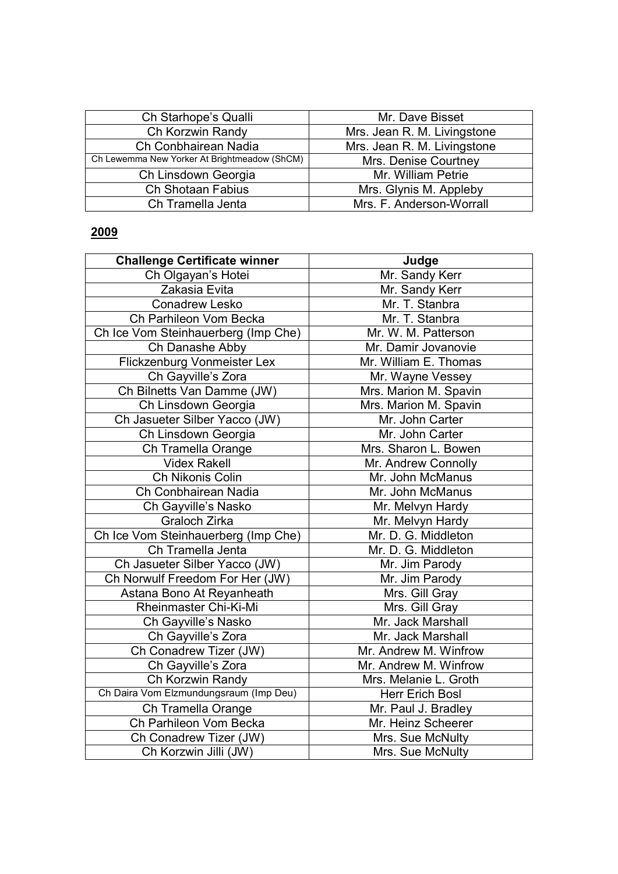| Ch Starhope's Qualli                         | Mr. Dave Bisset             |
|----------------------------------------------|-----------------------------|
| Ch Korzwin Randy                             | Mrs. Jean R. M. Livingstone |
| Ch Conbhairean Nadia                         | Mrs. Jean R. M. Livingstone |
| Ch Lewemma New Yorker At Brightmeadow (ShCM) | Mrs. Denise Courtney        |
| Ch Linsdown Georgia                          | Mr. William Petrie          |
| Ch Shotaan Fabius                            | Mrs. Glynis M. Appleby      |
| Ch Tramella Jenta                            | Mrs. F. Anderson-Worrall    |

| <b>Challenge Certificate winner</b>    | Judge                  |
|----------------------------------------|------------------------|
| Ch Olgayan's Hotei                     | Mr. Sandy Kerr         |
| Zakasia Evita                          | Mr. Sandy Kerr         |
| Conadrew Lesko                         | Mr. T. Stanbra         |
| Ch Parhileon Vom Becka                 | Mr. T. Stanbra         |
| Ch Ice Vom Steinhauerberg (Imp Che)    | Mr. W. M. Patterson    |
| Ch Danashe Abby                        | Mr. Damir Jovanovie    |
| Flickzenburg Vonmeister Lex            | Mr. William E. Thomas  |
| Ch Gayville's Zora                     | Mr. Wayne Vessey       |
| Ch Bilnetts Van Damme (JW)             | Mrs. Marion M. Spavin  |
| Ch Linsdown Georgia                    | Mrs. Marion M. Spavin  |
| Ch Jasueter Silber Yacco (JW)          | Mr. John Carter        |
| Ch Linsdown Georgia                    | Mr. John Carter        |
| Ch Tramella Orange                     | Mrs. Sharon L. Bowen   |
| <b>Videx Rakell</b>                    | Mr. Andrew Connolly    |
| Ch Nikonis Colin                       | Mr. John McManus       |
| Ch Conbhairean Nadia                   | Mr. John McManus       |
| Ch Gayville's Nasko                    | Mr. Melvyn Hardy       |
| Graloch Zirka                          | Mr. Melvyn Hardy       |
| Ch Ice Vom Steinhauerberg (Imp Che)    | Mr. D. G. Middleton    |
| Ch Tramella Jenta                      | Mr. D. G. Middleton    |
| Ch Jasueter Silber Yacco (JW)          | Mr. Jim Parody         |
| Ch Norwulf Freedom For Her (JW)        | Mr. Jim Parody         |
| Astana Bono At Reyanheath              | Mrs. Gill Gray         |
| Rheinmaster Chi-Ki-Mi                  | Mrs. Gill Gray         |
| Ch Gayville's Nasko                    | Mr. Jack Marshall      |
| Ch Gayville's Zora                     | Mr. Jack Marshall      |
| Ch Conadrew Tizer (JW)                 | Mr. Andrew M. Winfrow  |
| Ch Gayville's Zora                     | Mr. Andrew M. Winfrow  |
| Ch Korzwin Randy                       | Mrs. Melanie L. Groth  |
| Ch Daira Vom Elzmundungsraum (Imp Deu) | <b>Herr Erich Bosl</b> |
| Ch Tramella Orange                     | Mr. Paul J. Bradley    |
| Ch Parhileon Vom Becka                 | Mr. Heinz Scheerer     |
| Ch Conadrew Tizer (JW)                 | Mrs. Sue McNulty       |
| Ch Korzwin Jilli (JW)                  | Mrs. Sue McNulty       |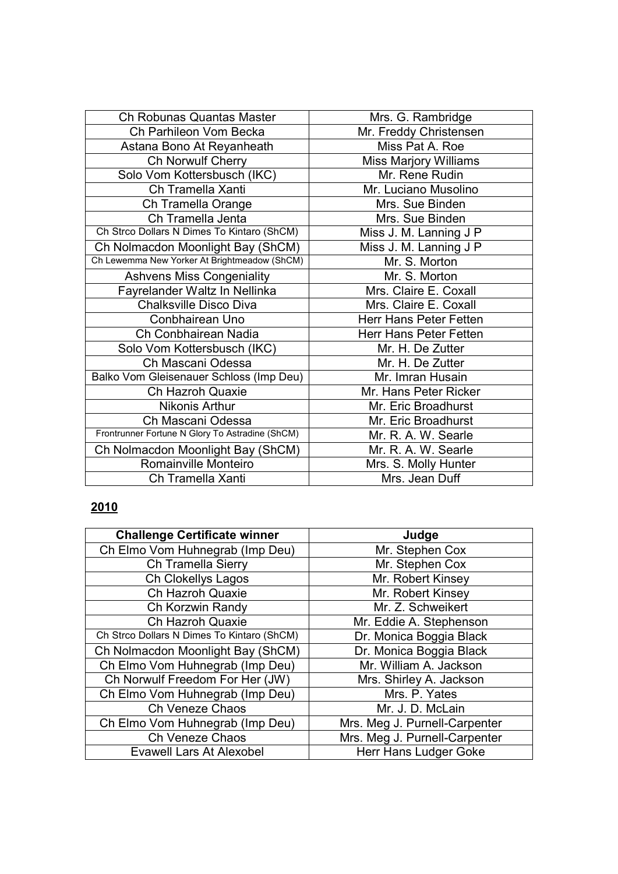| Ch Robunas Quantas Master                       | Mrs. G. Rambridge            |
|-------------------------------------------------|------------------------------|
| Ch Parhileon Vom Becka                          | Mr. Freddy Christensen       |
| Astana Bono At Reyanheath                       | Miss Pat A. Roe              |
| Ch Norwulf Cherry                               | <b>Miss Marjory Williams</b> |
| Solo Vom Kottersbusch (IKC)                     | Mr. Rene Rudin               |
| Ch Tramella Xanti                               | Mr. Luciano Musolino         |
| Ch Tramella Orange                              | Mrs. Sue Binden              |
| Ch Tramella Jenta                               | Mrs. Sue Binden              |
| Ch Strco Dollars N Dimes To Kintaro (ShCM)      | Miss J. M. Lanning J P       |
| Ch Nolmacdon Moonlight Bay (ShCM)               | Miss J. M. Lanning J P       |
| Ch Lewemma New Yorker At Brightmeadow (ShCM)    | Mr. S. Morton                |
| <b>Ashvens Miss Congeniality</b>                | Mr. S. Morton                |
| Fayrelander Waltz In Nellinka                   | Mrs. Claire E. Coxall        |
| <b>Chalksville Disco Diva</b>                   | Mrs. Claire E. Coxall        |
| Conbhairean Uno                                 | Herr Hans Peter Fetten       |
| Ch Conbhairean Nadia                            | Herr Hans Peter Fetten       |
| Solo Vom Kottersbusch (IKC)                     | Mr. H. De Zutter             |
| Ch Mascani Odessa                               | Mr. H. De Zutter             |
| Balko Vom Gleisenauer Schloss (Imp Deu)         | Mr. Imran Husain             |
| Ch Hazroh Quaxie                                | Mr. Hans Peter Ricker        |
| Nikonis Arthur                                  | Mr. Eric Broadhurst          |
| Ch Mascani Odessa                               | Mr. Eric Broadhurst          |
| Frontrunner Fortune N Glory To Astradine (ShCM) | Mr. R. A. W. Searle          |
| Ch Nolmacdon Moonlight Bay (ShCM)               | Mr. R. A. W. Searle          |
| Romainville Monteiro                            | Mrs. S. Molly Hunter         |
| Ch Tramella Xanti                               | Mrs. Jean Duff               |

| <b>Challenge Certificate winner</b>        | Judge                         |
|--------------------------------------------|-------------------------------|
| Ch Elmo Vom Huhnegrab (Imp Deu)            | Mr. Stephen Cox               |
| Ch Tramella Sierry                         | Mr. Stephen Cox               |
| Ch Clokellys Lagos                         | Mr. Robert Kinsey             |
| Ch Hazroh Quaxie                           | Mr. Robert Kinsey             |
| Ch Korzwin Randy                           | Mr. Z. Schweikert             |
| Ch Hazroh Quaxie                           | Mr. Eddie A. Stephenson       |
| Ch Strco Dollars N Dimes To Kintaro (ShCM) | Dr. Monica Boggia Black       |
| Ch Nolmacdon Moonlight Bay (ShCM)          | Dr. Monica Boggia Black       |
| Ch Elmo Vom Huhnegrab (Imp Deu)            | Mr. William A. Jackson        |
| Ch Norwulf Freedom For Her (JW)            | Mrs. Shirley A. Jackson       |
| Ch Elmo Vom Huhnegrab (Imp Deu)            | Mrs. P. Yates                 |
| Ch Veneze Chaos                            | Mr. J. D. McLain              |
| Ch Elmo Vom Huhnegrab (Imp Deu)            | Mrs. Meg J. Purnell-Carpenter |
| Ch Veneze Chaos                            | Mrs. Meg J. Purnell-Carpenter |
| <b>Evawell Lars At Alexobel</b>            | <b>Herr Hans Ludger Goke</b>  |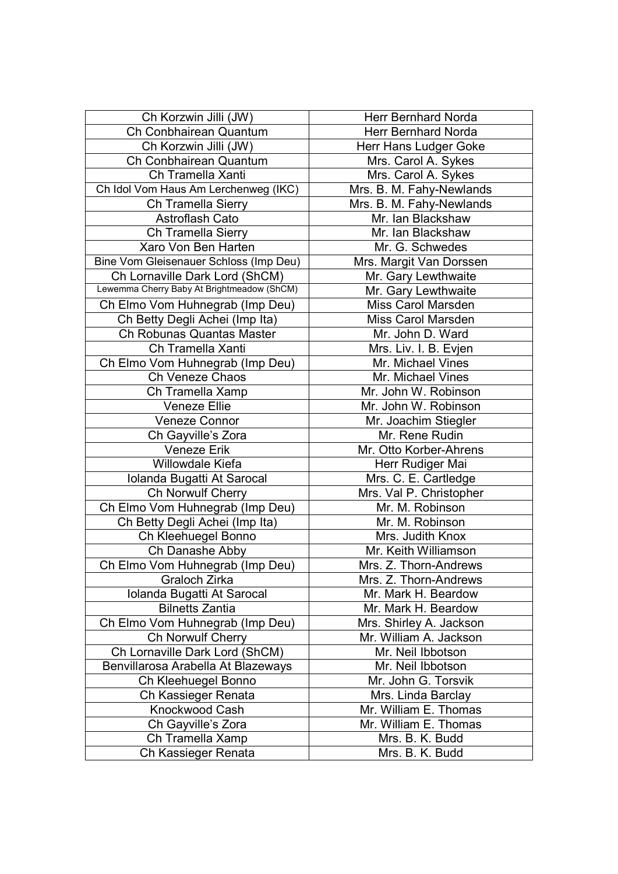| Ch Korzwin Jilli (JW)                      | <b>Herr Bernhard Norda</b> |
|--------------------------------------------|----------------------------|
| Ch Conbhairean Quantum                     | <b>Herr Bernhard Norda</b> |
| Ch Korzwin Jilli (JW)                      | Herr Hans Ludger Goke      |
| Ch Conbhairean Quantum                     | Mrs. Carol A. Sykes        |
| Ch Tramella Xanti                          | Mrs. Carol A. Sykes        |
| Ch Idol Vom Haus Am Lerchenweg (IKC)       | Mrs. B. M. Fahy-Newlands   |
| Ch Tramella Sierry                         | Mrs. B. M. Fahy-Newlands   |
| Astroflash Cato                            | Mr. Ian Blackshaw          |
| Ch Tramella Sierry                         | Mr. Ian Blackshaw          |
| Xaro Von Ben Harten                        | Mr. G. Schwedes            |
| Bine Vom Gleisenauer Schloss (Imp Deu)     | Mrs. Margit Van Dorssen    |
| Ch Lornaville Dark Lord (ShCM)             | Mr. Gary Lewthwaite        |
| Lewemma Cherry Baby At Brightmeadow (ShCM) | Mr. Gary Lewthwaite        |
| Ch Elmo Vom Huhnegrab (Imp Deu)            | Miss Carol Marsden         |
| Ch Betty Degli Achei (Imp Ita)             | Miss Carol Marsden         |
| Ch Robunas Quantas Master                  | Mr. John D. Ward           |
| Ch Tramella Xanti                          | Mrs. Liv. I. B. Evjen      |
| Ch Elmo Vom Huhnegrab (Imp Deu)            | Mr. Michael Vines          |
| Ch Veneze Chaos                            | Mr. Michael Vines          |
| Ch Tramella Xamp                           | Mr. John W. Robinson       |
| <b>Veneze Ellie</b>                        | Mr. John W. Robinson       |
| <b>Veneze Connor</b>                       | Mr. Joachim Stiegler       |
| Ch Gayville's Zora                         | Mr. Rene Rudin             |
| <b>Veneze Erik</b>                         | Mr. Otto Korber-Ahrens     |
| <b>Willowdale Kiefa</b>                    | Herr Rudiger Mai           |
| Iolanda Bugatti At Sarocal                 | Mrs. C. E. Cartledge       |
| Ch Norwulf Cherry                          | Mrs. Val P. Christopher    |
| Ch Elmo Vom Huhnegrab (Imp Deu)            | Mr. M. Robinson            |
| Ch Betty Degli Achei (Imp Ita)             | Mr. M. Robinson            |
| Ch Kleehuegel Bonno                        | Mrs. Judith Knox           |
| Ch Danashe Abby                            | Mr. Keith Williamson       |
| Ch Elmo Vom Huhnegrab (Imp Deu)            | Mrs. Z. Thorn-Andrews      |
| Graloch Zirka                              | Mrs. Z. Thorn-Andrews      |
| Iolanda Bugatti At Sarocal                 | Mr. Mark H. Beardow        |
| <b>Bilnetts Zantia</b>                     | Mr. Mark H. Beardow        |
| Ch Elmo Vom Huhnegrab (Imp Deu)            | Mrs. Shirley A. Jackson    |
| <b>Ch Norwulf Cherry</b>                   | Mr. William A. Jackson     |
| Ch Lornaville Dark Lord (ShCM)             | Mr. Neil Ibbotson          |
| Benvillarosa Arabella At Blazeways         | Mr. Neil Ibbotson          |
| Ch Kleehuegel Bonno                        | Mr. John G. Torsvik        |
| Ch Kassieger Renata                        | Mrs. Linda Barclay         |
| Knockwood Cash                             | Mr. William E. Thomas      |
| Ch Gayville's Zora                         | Mr. William E. Thomas      |
| Ch Tramella Xamp                           | Mrs. B. K. Budd            |
| Ch Kassieger Renata                        | Mrs. B. K. Budd            |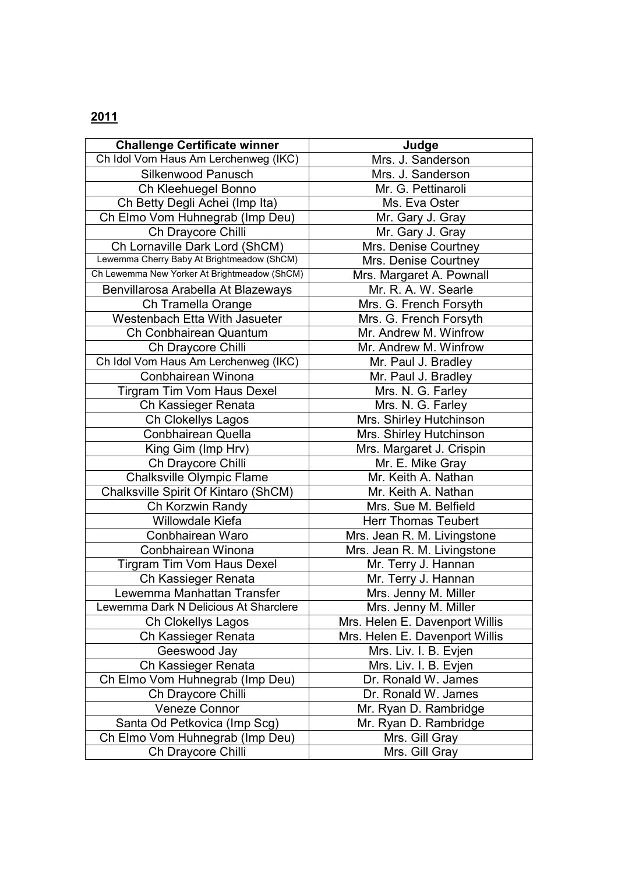| <b>Challenge Certificate winner</b>          | Judge                          |
|----------------------------------------------|--------------------------------|
| Ch Idol Vom Haus Am Lerchenweg (IKC)         | Mrs. J. Sanderson              |
| Silkenwood Panusch                           | Mrs. J. Sanderson              |
| Ch Kleehuegel Bonno                          | Mr. G. Pettinaroli             |
| Ch Betty Degli Achei (Imp Ita)               | Ms. Eva Oster                  |
| Ch Elmo Vom Huhnegrab (Imp Deu)              | Mr. Gary J. Gray               |
| Ch Draycore Chilli                           | Mr. Gary J. Gray               |
| Ch Lornaville Dark Lord (ShCM)               | Mrs. Denise Courtney           |
| Lewemma Cherry Baby At Brightmeadow (ShCM)   | Mrs. Denise Courtney           |
| Ch Lewemma New Yorker At Brightmeadow (ShCM) | Mrs. Margaret A. Pownall       |
| Benvillarosa Arabella At Blazeways           | Mr. R. A. W. Searle            |
| Ch Tramella Orange                           | Mrs. G. French Forsyth         |
| Westenbach Etta With Jasueter                | Mrs. G. French Forsyth         |
| Ch Conbhairean Quantum                       | Mr. Andrew M. Winfrow          |
| Ch Draycore Chilli                           | Mr. Andrew M. Winfrow          |
| Ch Idol Vom Haus Am Lerchenweg (IKC)         | Mr. Paul J. Bradley            |
| Conbhairean Winona                           | Mr. Paul J. Bradley            |
| Tirgram Tim Vom Haus Dexel                   | Mrs. N. G. Farley              |
| Ch Kassieger Renata                          | Mrs. N. G. Farley              |
| Ch Clokellys Lagos                           | Mrs. Shirley Hutchinson        |
| Conbhairean Quella                           | Mrs. Shirley Hutchinson        |
| King Gim (Imp Hrv)                           | Mrs. Margaret J. Crispin       |
| Ch Draycore Chilli                           | Mr. E. Mike Gray               |
| Chalksville Olympic Flame                    | Mr. Keith A. Nathan            |
| Chalksville Spirit Of Kintaro (ShCM)         | Mr. Keith A. Nathan            |
| Ch Korzwin Randy                             | Mrs. Sue M. Belfield           |
| Willowdale Kiefa                             | <b>Herr Thomas Teubert</b>     |
| Conbhairean Waro                             | Mrs. Jean R. M. Livingstone    |
| Conbhairean Winona                           | Mrs. Jean R. M. Livingstone    |
| <b>Tirgram Tim Vom Haus Dexel</b>            | Mr. Terry J. Hannan            |
| Ch Kassieger Renata                          | Mr. Terry J. Hannan            |
| Lewemma Manhattan Transfer                   | Mrs. Jenny M. Miller           |
| Lewemma Dark N Delicious At Sharclere        | Mrs. Jenny M. Miller           |
| Ch Clokellys Lagos                           | Mrs. Helen E. Davenport Willis |
| Ch Kassieger Renata                          | Mrs. Helen E. Davenport Willis |
| Geeswood Jay                                 | Mrs. Liv. I. B. Evjen          |
| Ch Kassieger Renata                          | Mrs. Liv. I. B. Evjen          |
| Ch Elmo Vom Huhnegrab (Imp Deu)              | Dr. Ronald W. James            |
| Ch Draycore Chilli                           | Dr. Ronald W. James            |
| <b>Veneze Connor</b>                         | Mr. Ryan D. Rambridge          |
| Santa Od Petkovica (Imp Scg)                 | Mr. Ryan D. Rambridge          |
| Ch Elmo Vom Huhnegrab (Imp Deu)              | Mrs. Gill Gray                 |
| Ch Draycore Chilli                           | Mrs. Gill Gray                 |